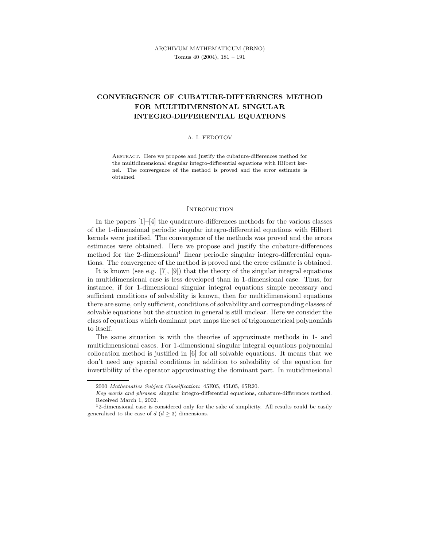# CONVERGENCE OF CUBATURE-DIFFERENCES METHOD FOR MULTIDIMENSIONAL SINGULAR INTEGRO-DIFFERENTIAL EQUATIONS

#### A. I. FEDOTOV

Abstract. Here we propose and justify the cubature-differences method for the multidimensional singular integro-differential equations with Hilbert kernel. The convergence of the method is proved and the error estimate is obtained.

#### **INTRODUCTION**

In the papers  $[1]-[4]$  the quadrature-differences methods for the various classes of the 1-dimensional periodic singular integro-differential equations with Hilbert kernels were justified. The convergence of the methods was proved and the errors estimates were obtained. Here we propose and justify the cubature-differences method for the 2-dimensional<sup>1</sup> linear periodic singular integro-differential equations. The convergence of the method is proved and the error estimate is obtained.

It is known (see e.g. [7], [9]) that the theory of the singular integral equations in multidimensicnal case is less developed than in 1-dimensional case. Thus, for instance, if for 1-dimensional singular integral equations simple necessary and sufficient conditions of solvability is known, then for multidimensional equations there are some, only sufficient, conditions of solvability and corresponding classes of solvable equations but the situation in general is still unclear. Here we consider the class of equations which dominant part maps the set of trigonometrical polynomials to itself.

The same situation is with the theories of approximate methods in 1- and multidimensional cases. For 1-dimensional singular integral equations polynomial collocation method is justified in [6] for all solvable equations. It means that we don't need any special conditions in addition to solvability of the equation for invertibility of the operator approximating the dominant part. In mutidimesional

<sup>2000</sup> Mathematics Subject Classification: 45E05, 45L05, 65R20.

Key words and phrases: singular integro-differential equations, cubature-differences method. Received March 1, 2002.

 $12$ -dimensional case is considered only for the sake of simplicity. All results could be easily generalised to the case of  $d$   $(d \geq 3)$  dimensions.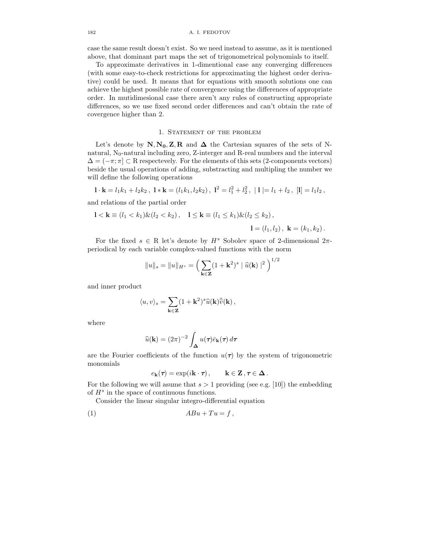case the same result doesn't exist. So we need instead to assume, as it is mentioned above, that dominant part maps the set of trigonometrical polynomials to itself.

To approximate derivatives in 1-dimentional case any converging differences (with some easy-to-check restrictions for approximating the highest order derivative) could be used. It means that for equations with smooth solutions one can achieve the highest possible rate of convergence using the differences of appropriate order. In mutidimesional case there aren't any rules of constructing appropriate differences, so we use fixed second order differences and can't obtain the rate of covergence higher than 2.

### 1. STATEMENT OF THE PROBLEM

Let's denote by  $N, N_0, Z, R$  and  $\Delta$  the Cartesian squares of the sets of Nnatural,  $N_0$ -natural including zero, Z-interger and R-real numbers and the interval  $\Delta = (-\pi, \pi] \subset \mathbb{R}$  respectevely. For the elements of this sets (2-components vectors) beside the usual operations of adding, substracting and multipling the number we will define the following operations

 $\mathbf{l} \cdot \mathbf{k} = l_1 k_1 + l_2 k_2$ ,  $\mathbf{l} * \mathbf{k} = (l_1 k_1, l_2 k_2)$ ,  $\mathbf{l}^2 = l_1^2 + l_2^2$ ,  $|\mathbf{l}| = l_1 + l_2$ ,  $[\mathbf{l}] = l_1 l_2$ ,

and relations of the partial order

$$
1 < k \equiv (l_1 < k_1) \& (l_2 < k_2), \quad 1 \le k \equiv (l_1 \le k_1) \& (l_2 \le k_2),
$$

$$
1 = (l_1, l_2), \quad k = (k_1, k_2).
$$

For the fixed  $s \in R$  let's denote by  $H^s$  Sobolev space of 2-dimensional  $2\pi$ periodical by each variable complex-valued functions with the norm

$$
||u||_s = ||u||_{H^s} = \left(\sum_{\mathbf{k}\in\mathbf{Z}} (1+\mathbf{k}^2)^s \mid \widehat{u}(\mathbf{k})\mid^2\right)^{1/2}
$$

and inner product

$$
\langle u,v\rangle_s=\sum_{\mathbf{k}\in\mathbf{Z}}(1+\mathbf{k}^2)^s\widehat{u}(\mathbf{k})\bar{\widehat{v}}(\mathbf{k})\,,
$$

where

$$
\widehat{u}(\mathbf{k}) = (2\pi)^{-2} \int_{\Delta} u(\tau) \bar{e}_{\mathbf{k}}(\tau) d\tau
$$

are the Fourier coefficients of the function  $u(\tau)$  by the system of trigonometric monomials

$$
e_{\mathbf{k}}(\boldsymbol{\tau}) = \exp(i\mathbf{k}\cdot\boldsymbol{\tau}), \qquad \mathbf{k}\in\mathbf{Z}\,,\boldsymbol{\tau}\in\boldsymbol{\Delta}\,.
$$

For the following we will asume that  $s > 1$  providing (see e.g. [10]) the embedding of  $H<sup>s</sup>$  in the space of continuous functions.

Consider the linear singular integro-differential equation

$$
(1) \tABu + Tu = f,
$$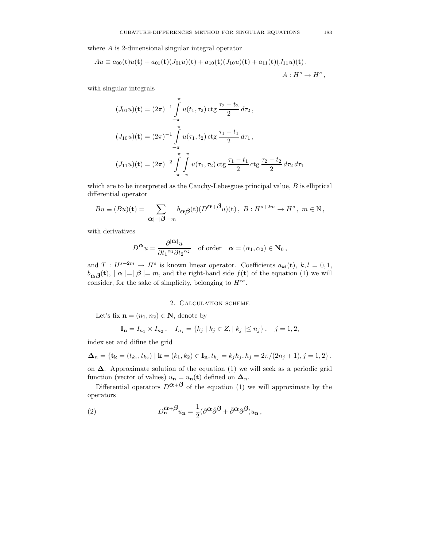where A is 2-dimensional singular integral operator

$$
Au \equiv a_{00}(\mathbf{t})u(\mathbf{t}) + a_{01}(\mathbf{t})(J_{01}u)(\mathbf{t}) + a_{10}(\mathbf{t})(J_{10}u)(\mathbf{t}) + a_{11}(\mathbf{t})(J_{11}u)(\mathbf{t}),
$$
  

$$
A: H^s \to H^s,
$$

with singular integrals

$$
(J_{01}u)(\mathbf{t}) = (2\pi)^{-1} \int_{-\pi}^{\pi} u(t_1, \tau_2) \operatorname{ctg} \frac{\tau_2 - t_2}{2} d\tau_2,
$$
  

$$
(J_{10}u)(\mathbf{t}) = (2\pi)^{-1} \int_{-\pi}^{\pi} u(\tau_1, t_2) \operatorname{ctg} \frac{\tau_1 - t_1}{2} d\tau_1,
$$
  

$$
(J_{11}u)(\mathbf{t}) = (2\pi)^{-2} \int_{-\pi}^{\pi} \int_{-\pi}^{\pi} u(\tau_1, \tau_2) \operatorname{ctg} \frac{\tau_1 - t_1}{2} \operatorname{ctg} \frac{\tau_2 - t_2}{2} d\tau_2 d\tau_1
$$

which are to be interpreted as the Cauchy-Lebesgues principal value,  $B$  is elliptical differential operator

$$
Bu \equiv (Bu)(\mathbf{t}) = \sum_{|\alpha|=|\beta|=m} b_{\alpha\beta}(\mathbf{t})(D^{\alpha+\beta}u)(\mathbf{t}), \ B: H^{s+2m} \to H^s, \ m \in \mathbb{N},
$$

with derivatives

$$
D^{\mathbf{\alpha}}u = \frac{\partial^{|\mathbf{\alpha}|}u}{\partial t_1{}^{\alpha_1}\partial t_2{}^{\alpha_2}} \quad \text{of order} \quad \mathbf{\alpha} = (\alpha_1, \alpha_2) \in \mathbf{N}_0 \,,
$$

and  $T: H^{s+2m} \to H^s$  is known linear operator. Coefficients  $a_{kl}(\mathbf{t}), k, l = 0, 1,$  $b_{\alpha\beta}(\mathbf{t}), |\alpha| = |\beta| = m$ , and the right-hand side  $f(\mathbf{t})$  of the equation (1) we will consider, for the sake of simplicity, belonging to  $H^{\infty}$ .

#### 2. Calculation scheme

Let's fix  $\mathbf{n} = (n_1, n_2) \in \mathbf{N}$ , denote by

$$
\mathbf{I_n} = I_{n_1} \times I_{n_2}, \quad I_{n_j} = \{k_j \mid k_j \in Z, \mid k_j \mid \leq n_j\}, \quad j = 1, 2,
$$

index set and difine the grid

$$
\Delta_n = \{ \mathbf{t_k} = (t_{k_1}, t_{k_2}) \mid \mathbf{k} = (k_1, k_2) \in \mathbf{I_n}, t_{k_j} = k_j h_j, h_j = 2\pi/(2n_j + 1), j = 1, 2 \}.
$$

on ∆. Approximate solution of the equation (1) we will seek as a periodic grid function (vector of values)  $u_{n} = u_{n}(t)$  defined on  $\Delta_{n}$ .

Differential operators  $D^{\alpha+\beta}$  of the equation (1) we will approximate by the operators

(2) 
$$
D_{\mathbf{n}}^{\mathbf{\alpha}+\mathbf{\beta}}u_{\mathbf{n}} = \frac{1}{2}(\partial^{\mathbf{\alpha}}\bar{\partial}^{\mathbf{\beta}} + \bar{\partial}^{\mathbf{\alpha}}\partial^{\mathbf{\beta}})u_{\mathbf{n}},
$$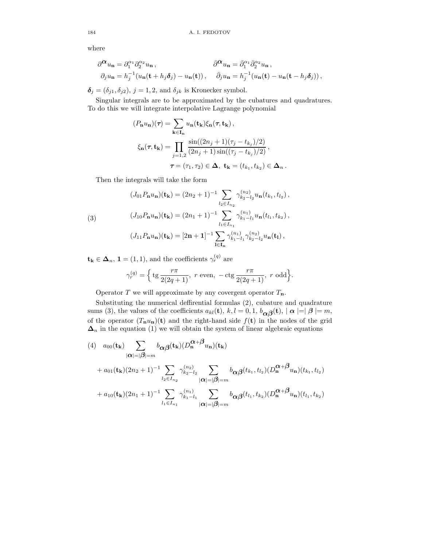where

$$
\begin{aligned}\n\partial^{\alpha} u_{\mathbf{n}} &= \partial_1^{\alpha_1} \partial_2^{\alpha_2} u_{\mathbf{n}} \,, &\qquad \bar{\partial}^{\alpha} u_{\mathbf{n}} &= \bar{\partial}_1^{\alpha_1} \bar{\partial}_2^{\alpha_2} u_{\mathbf{n}} \,, \\
\partial_j u_{\mathbf{n}} &= h_j^{-1} (u_{\mathbf{n}}(\mathbf{t} + h_j \boldsymbol{\delta}_j) - u_{\mathbf{n}}(\mathbf{t})) \,, &\qquad \bar{\partial}_j u_{\mathbf{n}} &= h_j^{-1} (u_{\mathbf{n}}(\mathbf{t}) - u_{\mathbf{n}}(\mathbf{t} - h_j \boldsymbol{\delta}_j)) \,,\n\end{aligned}
$$

 $\delta_j = (\delta_{j1}, \delta_{j2}), j = 1, 2$ , and  $\delta_{jk}$  is Kronecker symbol.

Singular integrals are to be approximated by the cubatures and quadratures. To do this we will integrate interpolative Lagrange polynomial

$$
(P_{\mathbf{n}}u_{\mathbf{n}})(\tau) = \sum_{\mathbf{k}\in\mathbf{I}_{\mathbf{n}}} u_{\mathbf{n}}(\mathbf{t}_{\mathbf{k}})\xi_{\mathbf{n}}(\tau, \mathbf{t}_{\mathbf{k}}),
$$

$$
\xi_{\mathbf{n}}(\tau, \mathbf{t}_{\mathbf{k}}) = \prod_{j=1,2} \frac{\sin((2n_j+1)(\tau_j - t_{k_j})/2)}{(2n_j+1)\sin((\tau_j - t_{k_j})/2)},
$$

$$
\tau = (\tau_1, \tau_2) \in \Delta, \ \mathbf{t}_{\mathbf{k}} = (t_{k_1}, t_{k_2}) \in \Delta_n.
$$

Then the integrals will take the form

(3)  
\n
$$
(J_{01}P_{n}u_{n})(\mathbf{t}_{k}) = (2n_{2} + 1)^{-1} \sum_{l_{2} \in I_{n_{2}}} \gamma_{k_{2} - l_{2}}^{(n_{2})} u_{n}(t_{k_{1}}, t_{l_{2}}),
$$
\n
$$
(J_{10}P_{n}u_{n})(\mathbf{t}_{k}) = (2n_{1} + 1)^{-1} \sum_{l_{1} \in I_{n_{1}}} \gamma_{k_{1} - l_{1}}^{(n_{1})} u_{n}(t_{l_{1}}, t_{k_{2}}),
$$
\n
$$
(J_{11}P_{n}u_{n})(\mathbf{t}_{k}) = [2\mathbf{n} + \mathbf{1}]^{-1} \sum_{l \in I_{n}} \gamma_{k_{1} - l_{1}}^{(n_{1})} \gamma_{k_{2} - l_{2}}^{(n_{2})} u_{n}(\mathbf{t}_{l}),
$$

 $\mathbf{t}_{\mathbf{k}} \in \mathbf{\Delta}_n$ ,  $\mathbf{1} = (1, 1)$ , and the coefficients  $\gamma_r^{(q)}$  are

$$
\gamma_r^{(q)} = \Big\{ \text{tg } \frac{r\pi}{2(2q+1)}, \ r \text{ even}, \ -\text{ctg } \frac{r\pi}{2(2q+1)}, \ r \text{ odd} \Big\}.
$$

Operator T we will approximate by any covergent operator  $T_n$ .

Substituting the numerical deffirential formulas (2), cubature and quadrature sums (3), the values of the coefficients  $a_{kl}(\mathbf{t}), k, l = 0, 1, b_{\alpha\beta}(\mathbf{t}), |\alpha| = |\beta| = m$ , of the operator  $(T_n u_n)(t)$  and the right-hand side  $f(t)$  in the nodes of the grid  $\Delta_n$  in the equation (1) we will obtain the system of linear algebraic equations

$$
(4) \quad a_{00}(\mathbf{t}_{k}) \sum_{|\alpha|=|\beta|=m} b_{\alpha\beta}(\mathbf{t}_{k})(D_{n}^{\alpha+\beta}u_{n})(\mathbf{t}_{k}) + a_{01}(\mathbf{t}_{k})(2n_{2}+1)^{-1} \sum_{l_{2} \in I_{n_{2}}} \gamma_{k_{2}-l_{2}}^{(n_{2})} \sum_{|\alpha|=|\beta|=m} b_{\alpha\beta}(t_{k_{1}},t_{l_{2}})(D_{n}^{\alpha+\beta}u_{n})(t_{k_{1}},t_{l_{2}}) + a_{10}(\mathbf{t}_{k})(2n_{1}+1)^{-1} \sum_{l_{1} \in I_{n_{1}}} \gamma_{k_{1}-l_{1}}^{(n_{1})} \sum_{|\alpha|=|\beta|=m} b_{\alpha\beta}(t_{l_{1}},t_{k_{2}})(D_{n}^{\alpha+\beta}u_{n})(t_{l_{1}},t_{k_{2}})
$$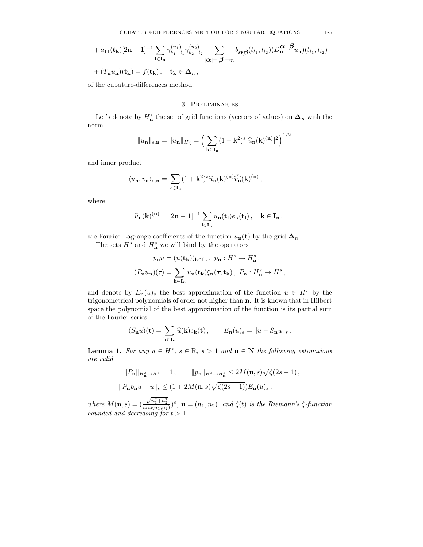+ 
$$
a_{11}(\mathbf{t}_{\mathbf{k}})[2\mathbf{n}+\mathbf{1}]^{-1}\sum_{\mathbf{l}\in\mathbf{I}_{\mathbf{n}}}\gamma_{k_{1}-l_{1}}^{(n_{1})}\gamma_{k_{2}-l_{2}}^{(n_{2})}\sum_{|\alpha|=|\beta|=m}b_{\alpha\beta}(t_{l_{1}},t_{l_{2}})(D_{\mathbf{n}}^{\alpha+\beta}u_{\mathbf{n}})(t_{l_{1}},t_{l_{2}})
$$
  
+  $(T_{\mathbf{n}}u_{\mathbf{n}})(\mathbf{t}_{\mathbf{k}})=f(\mathbf{t}_{\mathbf{k}}), \quad \mathbf{t}_{\mathbf{k}}\in\Delta_{n}$ ,

of the cubature-differences method.

## 3. Preliminaries

Let's denote by  $H_n^s$  the set of grid functions (vectors of values) on  $\Delta_n$  with the norm

$$
||u_{n}||_{s,n} = ||u_{n}||_{H_{n}^{s}} = \left(\sum_{\mathbf{k} \in \mathbf{I}_{n}} (1 + \mathbf{k}^{2})^{s} |\widehat{u}_{n}(\mathbf{k})^{(n)}|^{2}\right)^{1/2}
$$

and inner product

$$
\langle u_{\mathbf{n}}, v_{\mathbf{n}}\rangle_{s,\mathbf{n}} = \sum_{\mathbf{k}\in\mathbf{I}_{\mathbf{n}}}(1+\mathbf{k}^2)^s\widehat{u}_{\mathbf{n}}(\mathbf{k})^{(\mathbf{n})}\bar{\widehat{v}_{\mathbf{n}}}(\mathbf{k})^{(\mathbf{n})},
$$

where

$$
\widehat{u}_{\bf n}({\bf k})^{({\bf n})}=[2{\bf n}+{\bf 1}]^{-1}\sum_{{\bf l}\in {\bf I}_{\bf n}}u_{\bf n}({\bf t}_{\bf l})\bar{e}_{\bf k}({\bf t}_{\bf l})\,,\quad {\bf k}\in {\bf I}_{\bf n}\,,
$$

are Fourier-Lagrange coefficients of the function  $u_{n}(t)$  by the grid  $\Delta_{n}$ .

The sets  $H^s$  and  $H^s_n$  we will bind by the operators

$$
\label{eq:pn} \begin{split} p_{\mathbf{n}}u&=(u(\mathbf{t_{k}}))_{\mathbf{k}\in\mathbf{I_{n}}}\,,\,\,p_{\mathbf{n}}:H^{s}\rightarrow H^{s}_{\mathbf{n}}\,,\\ (P_{\mathbf{n}}u_{\mathbf{n}})(\tau)&=\sum_{\mathbf{k}\in\mathbf{I_{n}}}u_{\mathbf{n}}(\mathbf{t_{k}})\xi_{\mathbf{n}}(\tau,\mathbf{t_{k}})\,,\,\,P_{\mathbf{n}}:H^{s}_{\mathbf{n}}\rightarrow H^{s}\,, \end{split}
$$

and denote by  $E_n(u)_s$  the best approximation of the function  $u \in H^s$  by the trigonometrical polynomials of order not higher than n. It is known that in Hilbert space the polynomial of the best approximation of the function is its partial sum of the Fourier series

$$
(S_{\mathbf{n}}u)(\mathbf{t}) = \sum_{\mathbf{k}\in\mathbf{I}_{\mathbf{n}}}\widehat{u}(\mathbf{k})e_{\mathbf{k}}(\mathbf{t}), \qquad E_{\mathbf{n}}(u)_s = \|u - S_{\mathbf{n}}u\|_s.
$$

**Lemma 1.** For any  $u \in H^s$ ,  $s \in \mathbb{R}$ ,  $s > 1$  and  $\mathbf{n} \in \mathbb{N}$  the following estimations are valid

$$
||P_{\mathbf{n}}||_{H_{\mathbf{n}}^s \to H^s} = 1, \qquad ||p_{\mathbf{n}}||_{H^s \to H_{\mathbf{n}}^s} \le 2M(\mathbf{n}, s)\sqrt{\zeta(2s - 1)},
$$
  

$$
||P_{\mathbf{n}}p_{\mathbf{n}}u - u||_s \le (1 + 2M(\mathbf{n}, s)\sqrt{\zeta(2s - 1)})E_{\mathbf{n}}(u)_s,
$$

where  $M(n, s) = ($  $(\sqrt{n_1^2+n_2^2})^s$ ,  $\mathbf{n}=(n_1,n_2)$ , and  $\zeta(t)$  is the Riemann's  $\zeta$ -function bounded and decreasing for  $t > 1$ .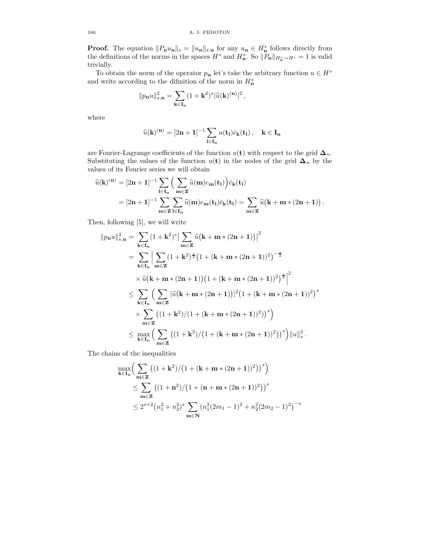**Proof.** The equation  $||P_nu_n||_s = ||u_n||_{s,n}$  for any  $u_n \in H_n^s$  follows directly from the definitions of the norms in the spaces  $H^s$  and  $H^s_n$ . So  $||P_n||_{H^s_n \to H^s} = 1$  is valid trivially.

To obtain the norm of the operator  $p_n$  let's take the arbitrary function  $u \in H^s$ and write according to the difinition of the norm in  $H<sub>n</sub><sup>s</sup>$ 

$$
\|p_{\mathbf{n}} u\|_{s,\mathbf{n}}^2 = \sum_{\mathbf{k} \in \mathbf{I}_{\mathbf{n}}} (1 + \mathbf{k}^2)^s |\widehat{u}(\mathbf{k})^{(\mathbf{n})}|^2,
$$

where

$$
\widehat{u}(\mathbf{k})^{(\mathbf{n})} = [2\mathbf{n} + \mathbf{1}]^{-1} \sum_{\mathbf{l} \in \mathbf{I}_{\mathbf{n}}} u(\mathbf{t}_{\mathbf{l}}) \bar{e}_{\mathbf{k}}(\mathbf{t}_{\mathbf{l}}), \quad \mathbf{k} \in \mathbf{I}_{\mathbf{n}}
$$

are Fourier-Lagrange coefficients of the function  $u(t)$  with respect to the grid  $\Delta_n$ . Substituting the values of the function  $u(t)$  in the nodes of the grid  $\Delta_n$  by the values of its Fourier series we will obtain

$$
\begin{aligned} \widehat{u}(\mathbf{k})^{(\mathbf{n})} &= [2\mathbf{n}+1]^{-1} \sum_{\mathbf{l} \in \mathbf{I_n}} \Big( \sum_{\mathbf{m} \in \mathbf{Z}} \widehat{u}(\mathbf{m}) e_{\mathbf{m}}(\mathbf{t}_1) \Big) \bar{e}_{\mathbf{k}}(\mathbf{t}_1) \\ &= [2\mathbf{n}+1]^{-1} \sum_{\mathbf{m} \in \mathbf{Z}} \sum_{\mathbf{l} \in \mathbf{I_n}} \widehat{u}(\mathbf{m}) e_{\mathbf{m}}(\mathbf{t}_1) \bar{e}_{\mathbf{k}}(\mathbf{t}_1) = \sum_{\mathbf{m} \in \mathbf{Z}} \widehat{u} \big( \mathbf{k} + \mathbf{m} * (2\mathbf{n} + 1) \big) \, . \end{aligned}
$$

Then, following [5], we will write

$$
||p_{n}u||_{s,n}^{2} = \sum_{k \in I_{n}} (1 + k^{2})^{s} \Big| \sum_{m \in \mathbb{Z}} \widehat{u}(k + m * (2n + 1)) \Big|^{2}
$$
  
\n
$$
= \sum_{k \in I_{n}} \Big| \sum_{m \in \mathbb{Z}} (1 + k^{2})^{\frac{s}{2}} (1 + (k + m * (2n + 1))^{2})^{-\frac{s}{2}}
$$
  
\n
$$
\times \widehat{u}(k + m * (2n + 1)) (1 + (k + m * (2n + 1))^{2})^{\frac{s}{2}} \Big|^{2}
$$
  
\n
$$
\leq \sum_{k \in I_{n}} \Big( \sum_{m \in \mathbb{Z}} |\widehat{u}(k + m * (2n + 1))|^{2} (1 + (k + m * (2n + 1))^{2})^{s}
$$
  
\n
$$
\times \sum_{m \in \mathbb{Z}} ((1 + k^{2})/(1 + (k + m * (2n + 1))^{2}))^{s} \Big)
$$
  
\n
$$
\leq \max_{k \in I_{n}} \Big( \sum_{m \in \mathbb{Z}} ((1 + k^{2})/(1 + (k + m * (2n + 1))^{2}))^{s} \Big) ||u||_{s}^{2}.
$$

The chains of the inequalities

$$
\max_{\mathbf{k}\in\mathbf{I}_{\mathbf{n}}} \Big( \sum_{\mathbf{m}\in\mathbf{Z}} \big( (1+\mathbf{k}^2)/(1+(\mathbf{k}+\mathbf{m}*(2\mathbf{n}+1))^2) \big)^s \Big) \n\leq \sum_{\mathbf{m}\in\mathbf{Z}} \big( (1+\mathbf{n}^2)/(1+(\mathbf{n}+\mathbf{m}*(2\mathbf{n}+1))^2) \big)^s \n\leq 2^{s+2} (n_1^2+n_2^2)^s \sum_{\mathbf{m}\in\mathbf{N}} (n_1^2(2m_1-1)^2+n_2^2(2m_2-1)^2)^{-s}
$$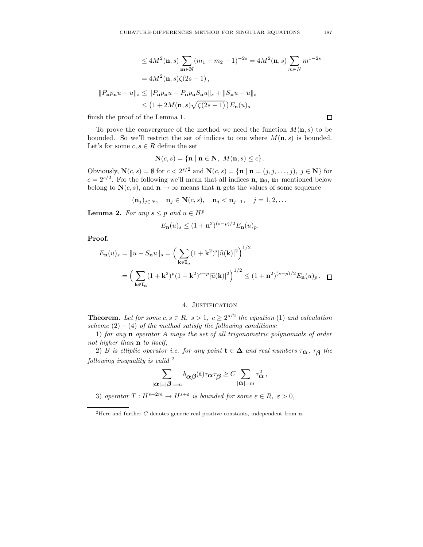$$
\leq 4M^2(\mathbf{n}, s) \sum_{\mathbf{m}\in\mathbf{N}} (m_1 + m_2 - 1)^{-2s} = 4M^2(\mathbf{n}, s) \sum_{m\in\mathbf{N}} m^{1-2s}
$$

$$
= 4M^2(\mathbf{n}, s)\zeta(2s - 1),
$$

$$
||P_{\mathbf{n}}p_{\mathbf{n}}u - u||_s \leq ||P_{\mathbf{n}}p_{\mathbf{n}}u - P_{\mathbf{n}}p_{\mathbf{n}}S_{\mathbf{n}}u||_s + ||S_{\mathbf{n}}u - u||_s
$$

$$
\leq (1 + 2M(\mathbf{n}, s)\sqrt{\zeta(2s - 1)}) E_{\mathbf{n}}(u)_s
$$

finish the proof of the Lemma 1.

To prove the convergence of the method we need the function  $M(\mathbf{n}, s)$  to be bounded. So we'll restrict the set of indices to one where  $M(n, s)$  is bounded. Let's for some  $c, s \in R$  define the set

$$
\mathbf{N}(c,s) = \{ \mathbf{n} \mid \mathbf{n} \in \mathbf{N}, \ M(\mathbf{n},s) \leq c \}.
$$

Obviously,  $\mathbf{N}(c, s) = \emptyset$  for  $c < 2^{s/2}$  and  $\mathbf{N}(c, s) = {\mathbf{n} | \mathbf{n} = (j, j, \dots, j), j \in \mathbf{N}}$  for  $c = 2^{s/2}$ . For the following we'll mean that all indices **n**, **n**<sub>0</sub>, **n**<sub>1</sub> mentioned below belong to  $N(c, s)$ , and  $n \to \infty$  means that n gets the values of some sequence

$$
(\mathbf{n}_j)_{j\in N}, \quad \mathbf{n}_j \in \mathbf{N}(c,s), \quad \mathbf{n}_j < \mathbf{n}_{j+1}, \quad j = 1, 2, \dots
$$

**Lemma 2.** For any  $s \leq p$  and  $u \in H^p$ 

$$
E_{\mathbf{n}}(u)_s \le (1+\mathbf{n}^2)^{(s-p)/2} E_{\mathbf{n}}(u)_p.
$$

Proof.

$$
E_{\mathbf{n}}(u)_{s} = ||u - S_{\mathbf{n}}u||_{s} = \left(\sum_{\mathbf{k} \notin \mathbf{I}_{\mathbf{n}}} (1 + \mathbf{k}^{2})^{s} |\widehat{u}(\mathbf{k})|^{2}\right)^{1/2}
$$
  
=  $\left(\sum_{\mathbf{k} \notin \mathbf{I}_{\mathbf{n}}} (1 + \mathbf{k}^{2})^{p} (1 + \mathbf{k}^{2})^{s-p} |\widehat{u}(\mathbf{k})|^{2}\right)^{1/2} \le (1 + \mathbf{n}^{2})^{(s-p)/2} E_{\mathbf{n}}(u)_{p}.$ 

## 4. JUSTIFICATION

**Theorem.** Let for some  $c, s \in R$ ,  $s > 1$ ,  $c \geq 2^{s/2}$  the equation (1) and calculation scheme  $(2) - (4)$  of the method satisfy the following conditions:

1) for any n operator A maps the set of all trigonometric polynomials of order not higher than n to itself,

2) B is elliptic operator i.e. for any point  $\mathbf{t} \in \Delta$  and real numbers  $\tau_{\boldsymbol{\alpha}}, \tau_{\boldsymbol{\beta}}$  the following inequality is valid  $2$ 

$$
\sum_{|\boldsymbol\alpha|=|\boldsymbol\beta|=m}b_{\boldsymbol\alpha\boldsymbol\beta}({\bf t})\tau_{\boldsymbol\alpha}\tau_{\boldsymbol\beta}\ge C\sum_{|\boldsymbol\alpha|=m}\tau_{\boldsymbol\alpha}^2\,,
$$

3) operator  $T: H^{s+2m} \to H^{s+\varepsilon}$  is bounded for some  $\varepsilon \in R$ ,  $\varepsilon > 0$ ,

 $\Box$ 

<sup>&</sup>lt;sup>2</sup>Here and further C denotes generic real positive constants, independent from  $n$ .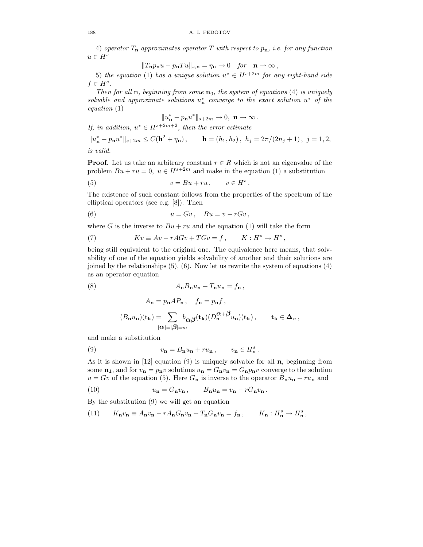4) operator  $T_n$  approximates operator T with respect to  $p_n$ , i.e. for any function  $u \in H^s$ 

$$
||T_{\mathbf{n}}p_{\mathbf{n}}u - p_{\mathbf{n}}Tu||_{s,\mathbf{n}} = \eta_{\mathbf{n}} \to 0 \quad \text{for} \quad \mathbf{n} \to \infty,
$$

5) the equation (1) has a unique solution  $u^* \in H^{s+2m}$  for any right-hand side  $f \in H^s$ .

Then for all **n**, beginning from some  $\mathbf{n}_0$ , the system of equations (4) is uniquely solvable and approximate solutions  $u_n^*$  converge to the exact solution  $u^*$  of the equation (1)

$$
||u_{\mathbf{n}}^*-p_{\mathbf{n}}u^*||_{s+2m}\to 0, \ \mathbf{n}\to\infty.
$$

If, in addition,  $u^* \in H^{s+2m+2}$ , then the error estimate

 $||u_{\mathbf{n}}^* - p_{\mathbf{n}} u^*||_{s+2m} \leq C(\mathbf{h}^2 + \eta_{\mathbf{n}}), \qquad \mathbf{h} = (h_1, h_2), \; h_j = 2\pi/(2n_j + 1), \; j = 1, 2,$ is valid.

**Proof.** Let us take an arbitrary constant  $r \in R$  which is not an eigenvalue of the problem  $Bu + ru = 0$ ,  $u \in H^{s+2m}$  and make in the equation (1) a substitution

(5) 
$$
v = Bu + ru, \qquad v \in H^s.
$$

The existence of such constant follows from the properties of the spectrum of the elliptical operators (see e.g. [8]). Then

(6) 
$$
u = Gv, \quad Bu = v - rGv,
$$

where G is the inverse to  $Bu + ru$  and the equation (1) will take the form

(7) 
$$
Kv \equiv Av - rAGv + TGv = f, \qquad K: H^s \to H^s,
$$

being still equivalent to the original one. The equivalence here means, that solvability of one of the equation yields solvability of another and their solutions are joined by the relationships (5), (6). Now let us rewrite the system of equations (4) as an operator equation

$$
(8) \qquad A_{\mathbf{n}}B_{\mathbf{n}}u_{\mathbf{n}} + T_{\mathbf{n}}u_{\mathbf{n}} = f_{\mathbf{n}}\,,
$$

$$
\begin{aligned} A_{\mathbf{n}} &= p_{\mathbf{n}}AP_{\mathbf{n}} \,, \quad f_{\mathbf{n}} = p_{\mathbf{n}}f \,, \\ (B_{\mathbf{n}}u_{\mathbf{n}})(\mathbf{t}_{\mathbf{k}}) &= \sum_{|\alpha| = |\beta| = m} b_{\alpha\beta}(\mathbf{t}_{\mathbf{k}})(D_{\mathbf{n}}^{\alpha+\beta}u_{\mathbf{n}})(\mathbf{t}_{\mathbf{k}}) \,, \qquad \mathbf{t}_{\mathbf{k}} \in \Delta_n \,, \end{aligned}
$$

and make a substitution

(9) 
$$
v_{\mathbf{n}} = B_{\mathbf{n}} u_{\mathbf{n}} + r u_{\mathbf{n}}, \qquad v_{\mathbf{n}} \in H_{\mathbf{n}}^{s}.
$$

As it is shown in [12] equation (9) is uniquely solvable for all n, beginning from some  $n_1$ , and for  $v_n = p_n v$  solutions  $u_n = G_n v_n = G_n p_n v$  converge to the solution  $u = Gv$  of the equation (5). Here  $G_n$  is inverse to the operator  $B_n u_n + r u_n$  and

(10) 
$$
u_{\mathbf{n}} = G_{\mathbf{n}} v_{\mathbf{n}}, \qquad B_{\mathbf{n}} u_{\mathbf{n}} = v_{\mathbf{n}} - r G_{\mathbf{n}} v_{\mathbf{n}}.
$$

By the substitution (9) we will get an equation

(11) 
$$
K_{\mathbf{n}}v_{\mathbf{n}} \equiv A_{\mathbf{n}}v_{\mathbf{n}} - rA_{\mathbf{n}}G_{\mathbf{n}}v_{\mathbf{n}} + T_{\mathbf{n}}G_{\mathbf{n}}v_{\mathbf{n}} = f_{\mathbf{n}}, \qquad K_{\mathbf{n}} : H_{\mathbf{n}}^s \to H_{\mathbf{n}}^s,
$$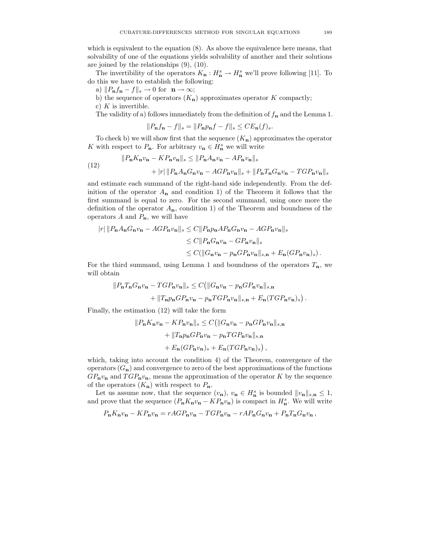which is equivalent to the equation (8). As above the equivalence here means, that solvability of one of the equations yields solvability of another and their solutions are joined by the relationships (9), (10).

The invertibility of the operators  $K_{\mathbf{n}} : H_{\mathbf{n}}^s \to H_{\mathbf{n}}^s$  we'll prove following [11]. To do this we have to establish the following:

a)  $||P_n f_n - f||_s \to 0$  for  $n \to \infty$ ;

b) the sequence of operators  $(K_n)$  approximates operator K compactly;

c)  $K$  is invertible.

The validity of a) follows immediately from the definition of  $f_{\mathbf{n}}$  and the Lemma 1.

$$
||P_{\mathbf{n}}f_{\mathbf{n}} - f||_{s} = ||P_{\mathbf{n}}p_{\mathbf{n}}f - f||_{s} \le CE_{\mathbf{n}}(f)_{s}.
$$

To check b) we will show first that the sequence  $(K_n)$  approximates the operator K with respect to  $P_{\mathbf{n}}$ . For arbitrary  $v_{\mathbf{n}} \in H_{\mathbf{n}}^s$  we will write

(12) 
$$
||P_{\mathbf{n}}K_{\mathbf{n}}v_{\mathbf{n}} - KP_{\mathbf{n}}v_{\mathbf{n}}||_{s} \le ||P_{\mathbf{n}}A_{\mathbf{n}}v_{\mathbf{n}} - AP_{\mathbf{n}}v_{\mathbf{n}}||_{s} + |r| ||P_{\mathbf{n}}A_{\mathbf{n}}G_{\mathbf{n}}v_{\mathbf{n}} - AGP_{\mathbf{n}}v_{\mathbf{n}}||_{s} + ||P_{\mathbf{n}}T_{\mathbf{n}}G_{\mathbf{n}}v_{\mathbf{n}} - TGP_{\mathbf{n}}v_{\mathbf{n}}||_{s}
$$

and estimate each summand of the right-hand side independently. From the definition of the operator  $A_n$  and condition 1) of the Theorem it follows that the first summand is equal to zero. For the second summand, using once more the definition of the operator  $A_n$ , condition 1) of the Theorem and boundness of the operators  $A$  and  $P_n$ , we will have

$$
\begin{aligned} |r| \, \|P_{\mathbf{n}}A_{\mathbf{n}}G_{\mathbf{n}}v_{\mathbf{n}} - AGP_{\mathbf{n}}v_{\mathbf{n}}\|_{s} &\leq C \|P_{\mathbf{n}}p_{\mathbf{n}}AP_{\mathbf{n}}G_{\mathbf{n}}v_{\mathbf{n}} - AGP_{\mathbf{n}}v_{\mathbf{n}}\|_{s} \\ &\leq C \|P_{\mathbf{n}}G_{\mathbf{n}}v_{\mathbf{n}} - GP_{\mathbf{n}}v_{\mathbf{n}}\|_{s} \\ &\leq C (\|G_{\mathbf{n}}v_{\mathbf{n}} - p_{\mathbf{n}}GP_{\mathbf{n}}v_{\mathbf{n}}\|_{s,\mathbf{n}} + E_{\mathbf{n}}(GP_{\mathbf{n}}v_{\mathbf{n}})_{s}) \,. \end{aligned}
$$

For the third summand, using Lemma 1 and boundness of the operators  $T_n$ , we will obtain

$$
||P_{\mathbf{n}}T_{\mathbf{n}}G_{\mathbf{n}}v_{\mathbf{n}} - TGP_{\mathbf{n}}v_{\mathbf{n}}||_s \leq C(||G_{\mathbf{n}}v_{\mathbf{n}} - p_{\mathbf{n}}GP_{\mathbf{n}}v_{\mathbf{n}}||_{s,\mathbf{n}} + ||T_{\mathbf{n}}p_{\mathbf{n}}GP_{\mathbf{n}}v_{\mathbf{n}} - p_{\mathbf{n}}TGP_{\mathbf{n}}v_{\mathbf{n}}||_{s,\mathbf{n}} + E_{\mathbf{n}}(TGP_{\mathbf{n}}v_{\mathbf{n}})_{s}).
$$

Finally, the estimation (12) will take the form

$$
||P_{\mathbf{n}}K_{\mathbf{n}}v_{\mathbf{n}} - KP_{\mathbf{n}}v_{\mathbf{n}}||_s \leq C(||G_{\mathbf{n}}v_{\mathbf{n}} - p_{\mathbf{n}}GP_{\mathbf{n}}v_{\mathbf{n}}||_{s,\mathbf{n}} + ||T_{\mathbf{n}}p_{\mathbf{n}}GP_{\mathbf{n}}v_{\mathbf{n}} - p_{\mathbf{n}}TGP_{\mathbf{n}}v_{\mathbf{n}}||_{s,\mathbf{n}} + E_{\mathbf{n}}(GP_{\mathbf{n}}v_{\mathbf{n}})_s + E_{\mathbf{n}}(TGP_{\mathbf{n}}v_{\mathbf{n}})_s),
$$

which, taking into account the condition 4) of the Theorem, convergence of the operators  $(G_n)$  and convergence to zero of the best approximations of the functions  $GP_n v_n$  and  $TGP_n v_n$ , means the approximation of the operator K by the sequence of the operators  $(K_n)$  with respect to  $P_n$ .

Let us assume now, that the sequence  $(v_n)$ ,  $v_n \in H_n^s$  is bounded  $||v_n||_{s,n} \leq 1$ , and prove that the sequence  $(P_{\mathbf{n}}K_{\mathbf{n}}v_{\mathbf{n}} - KP_{\mathbf{n}}v_{\mathbf{n}})$  is compact in  $H_{\mathbf{n}}^s$ . We will write

$$
P_{\mathbf{n}}K_{\mathbf{n}}v_{\mathbf{n}} - KP_{\mathbf{n}}v_{\mathbf{n}} = rAGP_{\mathbf{n}}v_{\mathbf{n}} - TGP_{\mathbf{n}}v_{\mathbf{n}} - rAP_{\mathbf{n}}G_{\mathbf{n}}v_{\mathbf{n}} + P_{\mathbf{n}}T_{\mathbf{n}}G_{\mathbf{n}}v_{\mathbf{n}},
$$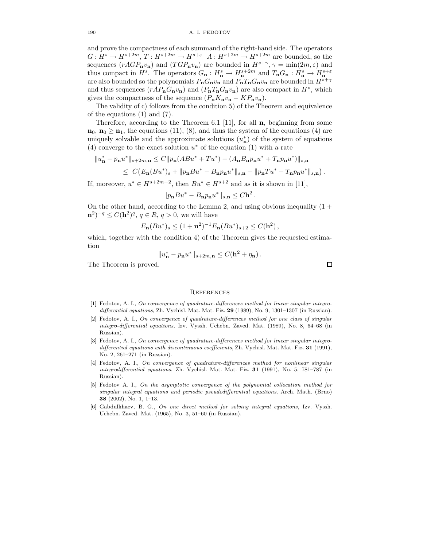#### 190 A. I. FEDOTOV

and prove the compactness of each summand of the right-hand side. The operators  $G: H^s \to H^{s+2m}, T: H^{s+2m} \to H^{s+\varepsilon}$   $A: H^{s+2m} \to H^{s+2m}$  are bounded, so the sequences  $(rAGP_n v_n)$  and  $(TGP_n v_n)$  are bounded in  $H^{s+\gamma}, \gamma = \min(2m, \varepsilon)$  and thus compact in  $H^s$ . The operators  $G_n: H_n^s \to H_n^{s+2m}$  and  $T_nG_n: H_n^s \to H_n^{s+\varepsilon}$ are also bounded so the polynomials  $P_nG_nv_n$  and  $P_nT_nG_nv_n$  are bounded in  $H^{s+\gamma}$ and thus sequences  $(rAP_nG_n v_n)$  and  $(P_nT_nG_n v_n)$  are also compact in  $H^s$ , which gives the compactness of the sequence  $(P_n K_n v_n - K P_n v_n)$ .

The validity of c) follows from the condition 5) of the Theorem and equivalence of the equations (1) and (7).

Therefore, according to the Theorem 6.1 [11], for all  $\mathbf{n}$ , beginning from some  $n_0, n_0 \geq n_1$ , the equations (11), (8), and thus the system of the equations (4) are uniquely solvable and the approximate solutions  $(u<sub>n</sub><sup>*</sup>)$  of the system of equations (4) converge to the exact solution  $u^*$  of the equation (1) with a rate

$$
||u_{\mathbf{n}}^* - p_{\mathbf{n}}u^*||_{s+2m,\mathbf{n}} \le C||p_{\mathbf{n}}(ABu^* + Tu^*) - (A_{\mathbf{n}}B_{\mathbf{n}}p_{\mathbf{n}}u^* + T_{\mathbf{n}}p_{\mathbf{n}}u^*)||_{s,\mathbf{n}}\le C\big(E_{\mathbf{n}}(Bu^*)_s + ||p_{\mathbf{n}}Bu^* - B_{\mathbf{n}}p_{\mathbf{n}}u^*||_{s,\mathbf{n}} + ||p_{\mathbf{n}}Tu^* - T_{\mathbf{n}}p_{\mathbf{n}}u^*||_{s,\mathbf{n}}\big)
$$

If, moreover,  $u^* \in H^{s+2m+2}$ , then  $Bu^* \in H^{s+2}$  and as it is shown in [11],

$$
||p_{\mathbf{n}}Bu^* - B_{\mathbf{n}}p_{\mathbf{n}}u^*||_{s,\mathbf{n}} \leq C\mathbf{h}^2.
$$

On the other hand, according to the Lemma 2, and using obvious inequality  $(1 +$  $(n^2)^{-q} \le C(h^2)^{q}, q \in R, q > 0$ , we will have

$$
E_{\mathbf{n}}(Bu^*)_s \le (1+\mathbf{n}^2)^{-1} E_{\mathbf{n}}(Bu^*)_s+2 \le C(\mathbf{h}^2),
$$

which, together with the condition 4) of the Theorem gives the requested estimation

$$
||u_{\mathbf{n}}^* - p_{\mathbf{n}} u^*||_{s+2m,\mathbf{n}} \leq C(\mathbf{h}^2 + \eta_{\mathbf{n}}).
$$

The Theorem is proved.

#### **REFERENCES**

- [1] Fedotov, A. I., On convergence of quadrature-differences method for linear singular integrodifferential equations, Zh. Vychisl. Mat. Mat. Fiz. 29 (1989), No. 9, 1301-1307 (in Russian).
- [2] Fedotov, A. I., On convergence of quadrature-differences method for one class of singular integro-differential equations, Izv. Vyssh. Uchebn. Zaved. Mat. (1989), No. 8, 64–68 (in Russian).
- [3] Fedotov, A. I., On convergence of quadrature-differences method for linear singular integrodifferential equations with discontinuous coefficients, Zh. Vychisl. Mat. Mat. Fiz. 31 (1991), No. 2, 261–271 (in Russian).
- [4] Fedotov, A. I., On convergence of quadrature-differences method for nonlinear singular integrodifferential equations, Zh. Vychisl. Mat. Mat. Fiz. 31 (1991), No. 5, 781–787 (in Russian).
- [5] Fedotov A. I., On the asymptotic convergence of the polynomial collocation method for singular integral equations and periodic pseudodifferential equations, Arch. Math. (Brno) 38 (2002), No. 1, 1–13.
- [6] Gabdulkhaev, B. G., On one direct method for solving integral equations, Izv. Vyssh. Uchebn. Zaved. Mat. (1965), No. 3, 51–60 (in Russian).

 $\Box$ 

.